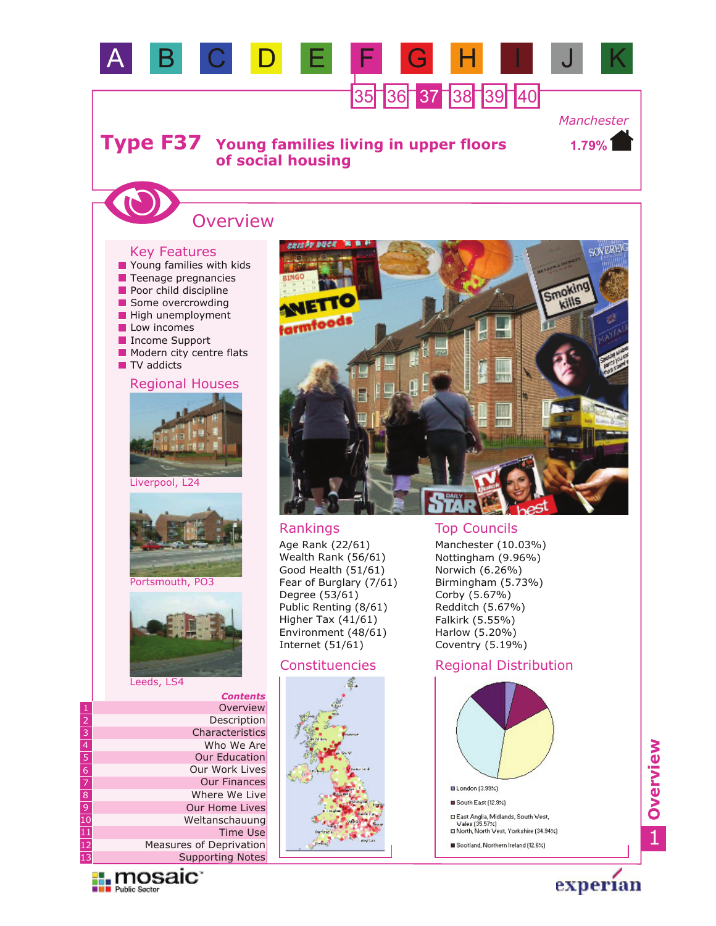

Age Rank (22/61) Wealth Rank (56/61) Good Health (51/61) Fear of Burglary (7/61) Degree (53/61) Public Renting (8/61) Higher Tax (41/61) Environment (48/61) Internet (51/61)

### Constituencies



Manchester (10.03%) Nottingham (9.96%) Norwich (6.26%) Birmingham (5.73%) Corby (5.67%) Redditch (5.67%) Falkirk (5.55%) Harlow (5.20%) Coventry (5.19%)

### Regional Distribution



1**Overview**



Portsmouth, PO3



experian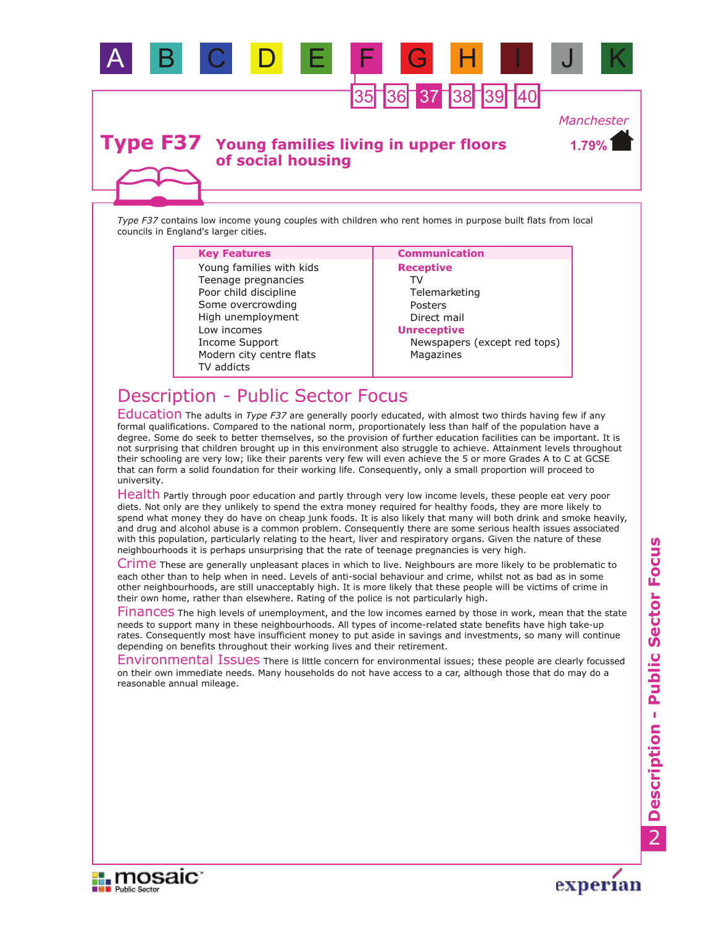

## **Type F37** Young families living in upper floors **of social housing**

*Type F37* contains low income young couples with children who rent homes in purpose built flats from local councils in England's larger cities.

| <b>Key Features</b>                                                                                                                                                             | <b>Communication</b>                                                                                                                 |
|---------------------------------------------------------------------------------------------------------------------------------------------------------------------------------|--------------------------------------------------------------------------------------------------------------------------------------|
| Young families with kids<br>Teenage pregnancies<br>Poor child discipline<br>Some overcrowding<br>High unemployment<br>Low incomes<br>Income Support<br>Modern city centre flats | <b>Receptive</b><br>TV<br>Telemarketing<br>Posters<br>Direct mail<br><b>Unreceptive</b><br>Newspapers (except red tops)<br>Magazines |
| TV addicts                                                                                                                                                                      |                                                                                                                                      |

# Description - Public Sector Focus

Education The adults in *Type F37* are generally poorly educated, with almost two thirds having few if any formal qualifications. Compared to the national norm, proportionately less than half of the population have a degree. Some do seek to better themselves, so the provision of further education facilities can be important. It is not surprising that children brought up in this environment also struggle to achieve. Attainment levels throughout their schooling are very low; like their parents very few will even achieve the 5 or more Grades A to C at GCSE that can form a solid foundation for their working life. Consequently, only a small proportion will proceed to university.

Health Partly through poor education and partly through very low income levels, these people eat very poor diets. Not only are they unlikely to spend the extra money required for healthy foods, they are more likely to spend what money they do have on cheap junk foods. It is also likely that many will both drink and smoke heavily, and drug and alcohol abuse is a common problem. Consequently there are some serious health issues associated with this population, particularly relating to the heart, liver and respiratory organs. Given the nature of these neighbourhoods it is perhaps unsurprising that the rate of teenage pregnancies is very high.

Crime These are generally unpleasant places in which to live. Neighbours are more likely to be problematic to each other than to help when in need. Levels of anti-social behaviour and crime, whilst not as bad as in some other neighbourhoods, are still unacceptably high. It is more likely that these people will be victims of crime in their own home, rather than elsewhere. Rating of the police is not particularly high.

Finances The high levels of unemployment, and the low incomes earned by those in work, mean that the state needs to support many in these neighbourhoods. All types of income-related state benefits have high take-up rates. Consequently most have insufficient money to put aside in savings and investments, so many will continue depending on benefits throughout their working lives and their retirement.

Environmental Issues There is little concern for environmental issues; these people are clearly focussed on their own immediate needs. Many households do not have access to a car, although those that do may do a reasonable annual mileage.





*Manchester*

**1.79%**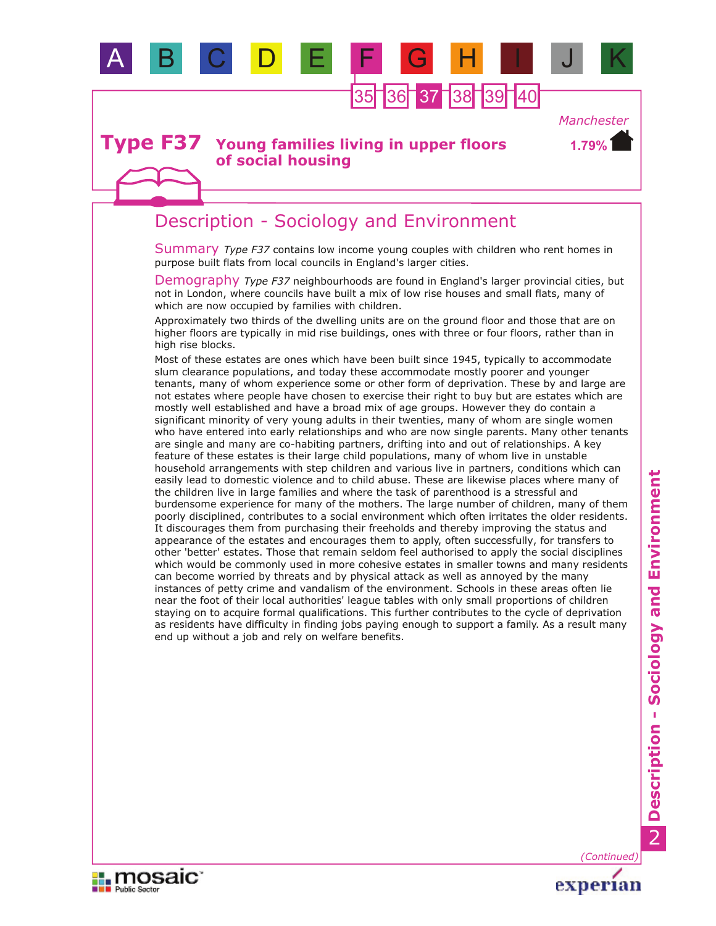

35 36 37 38 39 1

*Manchester*

**1.79%**

### **Young families living in upper floors of social housing Type F37**

# Description - Sociology and Environment

Summary Type F37 contains low income young couples with children who rent homes in purpose built flats from local councils in England's larger cities.

Demography *Type F37* neighbourhoods are found in England's larger provincial cities, but not in London, where councils have built a mix of low rise houses and small flats, many of which are now occupied by families with children.

Approximately two thirds of the dwelling units are on the ground floor and those that are on higher floors are typically in mid rise buildings, ones with three or four floors, rather than in high rise blocks.

Most of these estates are ones which have been built since 1945, typically to accommodate slum clearance populations, and today these accommodate mostly poorer and younger tenants, many of whom experience some or other form of deprivation. These by and large are not estates where people have chosen to exercise their right to buy but are estates which are mostly well established and have a broad mix of age groups. However they do contain a significant minority of very young adults in their twenties, many of whom are single women who have entered into early relationships and who are now single parents. Many other tenants are single and many are co-habiting partners, drifting into and out of relationships. A key feature of these estates is their large child populations, many of whom live in unstable household arrangements with step children and various live in partners, conditions which can easily lead to domestic violence and to child abuse. These are likewise places where many of the children live in large families and where the task of parenthood is a stressful and burdensome experience for many of the mothers. The large number of children, many of them poorly disciplined, contributes to a social environment which often irritates the older residents. It discourages them from purchasing their freeholds and thereby improving the status and appearance of the estates and encourages them to apply, often successfully, for transfers to other 'better' estates. Those that remain seldom feel authorised to apply the social disciplines which would be commonly used in more cohesive estates in smaller towns and many residents can become worried by threats and by physical attack as well as annoyed by the many instances of petty crime and vandalism of the environment. Schools in these areas often lie near the foot of their local authorities' league tables with only small proportions of children staying on to acquire formal qualifications. This further contributes to the cycle of deprivation as residents have difficulty in finding jobs paying enough to support a family. As a result many end up without a job and rely on welfare benefits.



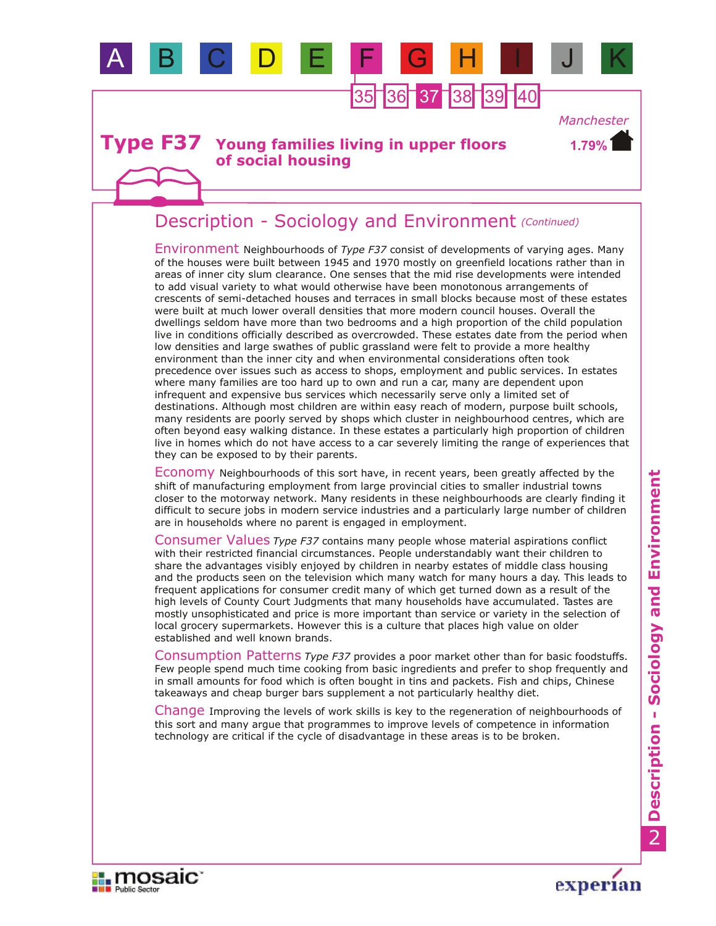

### **Young families living in upper floors of social housing Type F37**

# Description - Sociology and Environment *(Continued)*

Environment Neighbourhoods of *Type F37* consist of developments of varying ages. Many of the houses were built between 1945 and 1970 mostly on greenfield locations rather than in areas of inner city slum clearance. One senses that the mid rise developments were intended to add visual variety to what would otherwise have been monotonous arrangements of crescents of semi-detached houses and terraces in small blocks because most of these estates were built at much lower overall densities that more modern council houses. Overall the dwellings seldom have more than two bedrooms and a high proportion of the child population live in conditions officially described as overcrowded. These estates date from the period when low densities and large swathes of public grassland were felt to provide a more healthy environment than the inner city and when environmental considerations often took precedence over issues such as access to shops, employment and public services. In estates where many families are too hard up to own and run a car, many are dependent upon infrequent and expensive bus services which necessarily serve only a limited set of destinations. Although most children are within easy reach of modern, purpose built schools, many residents are poorly served by shops which cluster in neighbourhood centres, which are often beyond easy walking distance. In these estates a particularly high proportion of children live in homes which do not have access to a car severely limiting the range of experiences that they can be exposed to by their parents.

Economy Neighbourhoods of this sort have, in recent years, been greatly affected by the shift of manufacturing employment from large provincial cities to smaller industrial towns closer to the motorway network. Many residents in these neighbourhoods are clearly finding it difficult to secure jobs in modern service industries and a particularly large number of children are in households where no parent is engaged in employment.

Consumer Values *Type F37* contains many people whose material aspirations conflict with their restricted financial circumstances. People understandably want their children to share the advantages visibly enjoyed by children in nearby estates of middle class housing and the products seen on the television which many watch for many hours a day. This leads to frequent applications for consumer credit many of which get turned down as a result of the high levels of County Court Judgments that many households have accumulated. Tastes are mostly unsophisticated and price is more important than service or variety in the selection of local grocery supermarkets. However this is a culture that places high value on older established and well known brands.

Consumption Patterns *Type F37* provides a poor market other than for basic foodstuffs. Few people spend much time cooking from basic ingredients and prefer to shop frequently and in small amounts for food which is often bought in tins and packets. Fish and chips, Chinese takeaways and cheap burger bars supplement a not particularly healthy diet.

Change Improving the levels of work skills is key to the regeneration of neighbourhoods of this sort and many argue that programmes to improve levels of competence in information technology are critical if the cycle of disadvantage in these areas is to be broken.





*Manchester*

**1.79%**